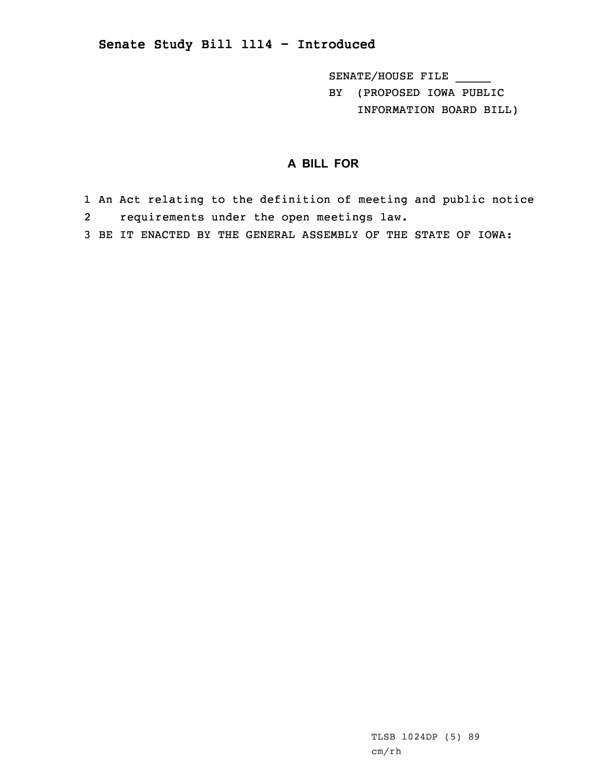## **Senate Study Bill 1114 - Introduced**

SENATE/HOUSE FILE \_\_\_\_\_ BY (PROPOSED IOWA PUBLIC INFORMATION BOARD BILL)

## **A BILL FOR**

- 1 An Act relating to the definition of meeting and public notice 2 requirements under the open meetings law.
- 3 BE IT ENACTED BY THE GENERAL ASSEMBLY OF THE STATE OF IOWA:

TLSB 1024DP (5) 89 cm/rh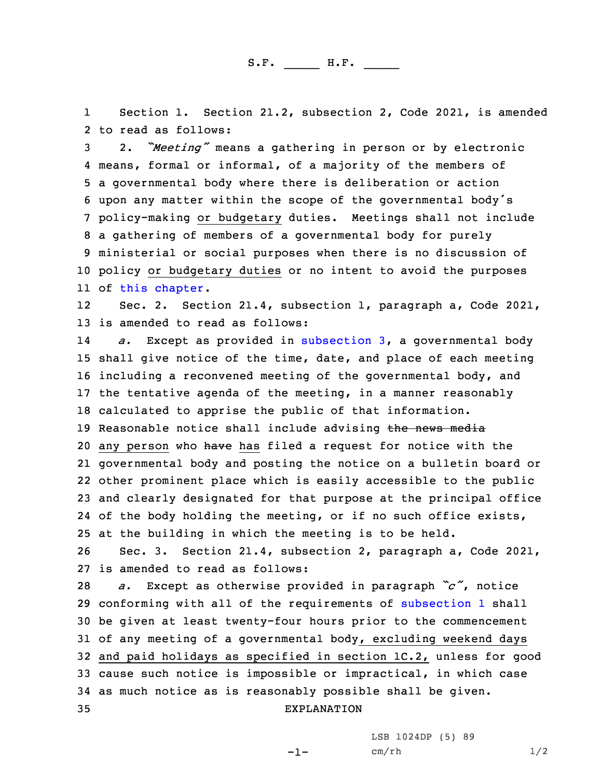1 Section 1. Section 21.2, subsection 2, Code 2021, is amended 2 to read as follows:

 2. *"Meeting"* means <sup>a</sup> gathering in person or by electronic means, formal or informal, of <sup>a</sup> majority of the members of <sup>a</sup> governmental body where there is deliberation or action upon any matter within the scope of the governmental body's policy-making or budgetary duties. Meetings shall not include <sup>a</sup> gathering of members of <sup>a</sup> governmental body for purely ministerial or social purposes when there is no discussion of policy or budgetary duties or no intent to avoid the purposes of this [chapter](https://www.legis.iowa.gov/docs/code/2021/21.pdf).

12 Sec. 2. Section 21.4, subsection 1, paragraph a, Code 2021, 13 is amended to read as follows:

14 *a.* Except as provided in [subsection](https://www.legis.iowa.gov/docs/code/2021/21.4.pdf) 3, <sup>a</sup> governmental body shall give notice of the time, date, and place of each meeting including <sup>a</sup> reconvened meeting of the governmental body, and the tentative agenda of the meeting, in <sup>a</sup> manner reasonably calculated to apprise the public of that information. 19 Reasonable notice shall include advising the news media 20 any person who have has filed a request for notice with the governmental body and posting the notice on <sup>a</sup> bulletin board or other prominent place which is easily accessible to the public and clearly designated for that purpose at the principal office 24 of the body holding the meeting, or if no such office exists, at the building in which the meeting is to be held.

26 Sec. 3. Section 21.4, subsection 2, paragraph a, Code 2021, 27 is amended to read as follows:

 *a.* Except as otherwise provided in paragraph *"c"*, notice conforming with all of the requirements of [subsection](https://www.legis.iowa.gov/docs/code/2021/21.4.pdf) 1 shall be given at least twenty-four hours prior to the commencement of any meeting of <sup>a</sup> governmental body, excluding weekend days and paid holidays as specified in section 1C.2, unless for good cause such notice is impossible or impractical, in which case as much notice as is reasonably possible shall be given. EXPLANATION

LSB 1024DP (5) 89

-1-

cm/rh 1/2